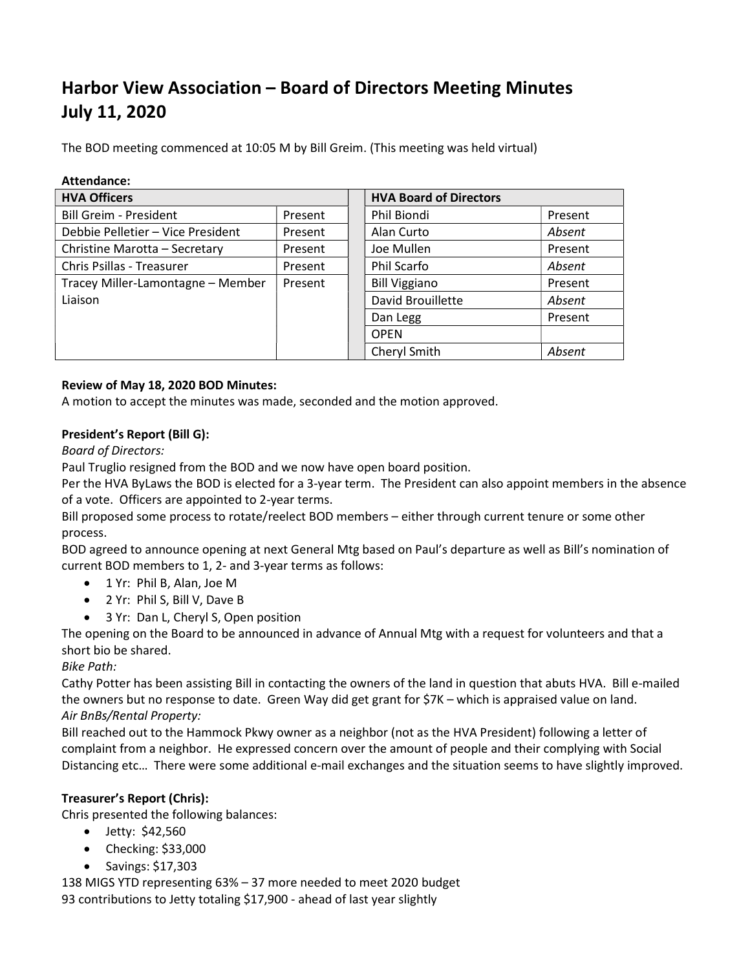# Harbor View Association – Board of Directors Meeting Minutes July 11, 2020

The BOD meeting commenced at 10:05 M by Bill Greim. (This meeting was held virtual)

| Attendance:                       |         |                               |         |
|-----------------------------------|---------|-------------------------------|---------|
| <b>HVA Officers</b>               |         | <b>HVA Board of Directors</b> |         |
| <b>Bill Greim - President</b>     | Present | Phil Biondi                   | Present |
| Debbie Pelletier - Vice President | Present | Alan Curto                    | Absent  |
| Christine Marotta - Secretary     | Present | Joe Mullen                    | Present |
| Chris Psillas - Treasurer         | Present | Phil Scarfo                   | Absent  |
| Tracey Miller-Lamontagne - Member | Present | <b>Bill Viggiano</b>          | Present |
| Liaison                           |         | David Brouillette             | Absent  |
|                                   |         | Dan Legg                      | Present |
|                                   |         | <b>OPEN</b>                   |         |
|                                   |         | Cheryl Smith                  | Absent  |

## Review of May 18, 2020 BOD Minutes:

A motion to accept the minutes was made, seconded and the motion approved.

## President's Report (Bill G):

Board of Directors:

Paul Truglio resigned from the BOD and we now have open board position.

Per the HVA ByLaws the BOD is elected for a 3-year term. The President can also appoint members in the absence of a vote. Officers are appointed to 2-year terms.

Bill proposed some process to rotate/reelect BOD members – either through current tenure or some other process.

BOD agreed to announce opening at next General Mtg based on Paul's departure as well as Bill's nomination of current BOD members to 1, 2- and 3-year terms as follows:

- 1 Yr: Phil B, Alan, Joe M
- 2 Yr: Phil S, Bill V, Dave B
- 3 Yr: Dan L, Cheryl S, Open position

The opening on the Board to be announced in advance of Annual Mtg with a request for volunteers and that a short bio be shared.

Bike Path:

Cathy Potter has been assisting Bill in contacting the owners of the land in question that abuts HVA. Bill e-mailed the owners but no response to date. Green Way did get grant for \$7K – which is appraised value on land. Air BnBs/Rental Property:

Bill reached out to the Hammock Pkwy owner as a neighbor (not as the HVA President) following a letter of complaint from a neighbor. He expressed concern over the amount of people and their complying with Social Distancing etc… There were some additional e-mail exchanges and the situation seems to have slightly improved.

# Treasurer's Report (Chris):

Chris presented the following balances:

- Jetty: \$42,560
- Checking: \$33,000
- $\bullet$  Savings: \$17,303

138 MIGS YTD representing 63% – 37 more needed to meet 2020 budget

93 contributions to Jetty totaling \$17,900 - ahead of last year slightly